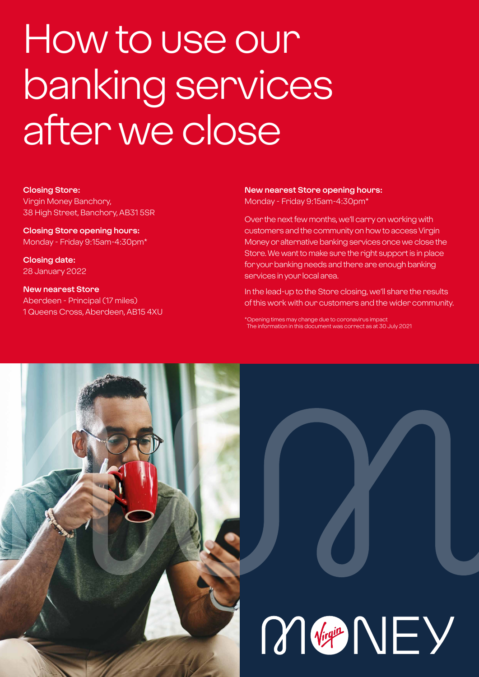# How to use our banking services after we close

#### **Closing Store:**

Virgin Money Banchory, 38 High Street, Banchory, AB31 5SR

**Closing Store opening hours:**  Monday - Friday 9:15am-4:30pm\*

**Closing date:**  28 January 2022

**New nearest Store** Aberdeen - Principal (17 miles) 1 Queens Cross, Aberdeen, AB15 4XU

#### **New nearest Store opening hours:** Monday - Friday 9:15am-4:30pm\*

Over the next few months, we'll carry on working with customers and the community on how to access Virgin Money or alternative banking services once we close the Store. We want to make sure the right support is in place for your banking needs and there are enough banking services in your local area.

In the lead-up to the Store closing, we'll share the results of this work with our customers and the wider community.

\*Opening times may change due to coronavirus impact The information in this document was correct as at 30 July 2021

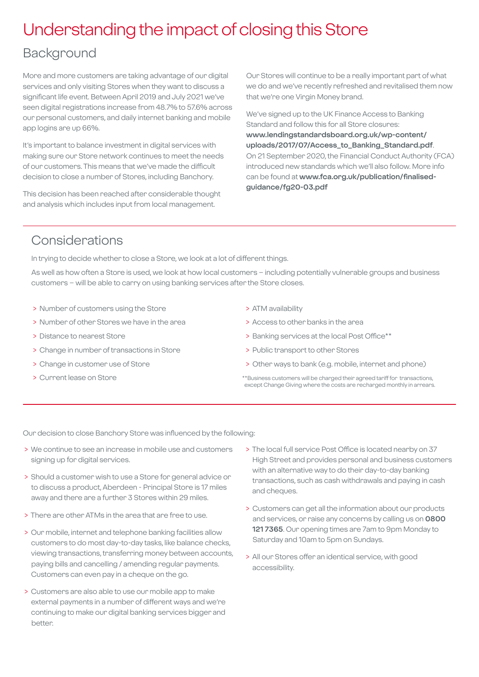### Understanding the impact of closing this Store

### Background

More and more customers are taking advantage of our digital services and only visiting Stores when they want to discuss a significant life event. Between April 2019 and July 2021 we've seen digital registrations increase from 48.7% to 57.6% across our personal customers, and daily internet banking and mobile app logins are up 66%.

It's important to balance investment in digital services with making sure our Store network continues to meet the needs of our customers. This means that we've made the difficult decision to close a number of Stores, including Banchory.

This decision has been reached after considerable thought and analysis which includes input from local management.

Our Stores will continue to be a really important part of what we do and we've recently refreshed and revitalised them now that we're one Virgin Money brand.

We've signed up to the UK Finance Access to Banking Standard and follow this for all Store closures: **[www.lendingstandardsboard.org.uk/wp-content/](http://www.lendingstandardsboard.org.uk/wp-content/uploads/2017/07/Access_to_Banking_Standard.pdf) [uploads/2017/07/Access\\_to\\_Banking\\_Standard.pdf](http://www.lendingstandardsboard.org.uk/wp-content/uploads/2017/07/Access_to_Banking_Standard.pdf)**. On 21 September 2020, the Financial Conduct Authority (FCA) introduced new standards which we'll also follow. More info can be found at **[www.fca.org.uk/publication/finalised](http://www.fca.org.uk/publication/finalised-guidance/fg20-03.pdf)[guidance/fg20-03.pdf](http://www.fca.org.uk/publication/finalised-guidance/fg20-03.pdf)**

### Considerations

In trying to decide whether to close a Store, we look at a lot of different things.

As well as how often a Store is used, we look at how local customers – including potentially vulnerable groups and business customers – will be able to carry on using banking services after the Store closes.

- > Number of customers using the Store
- > Number of other Stores we have in the area
- > Distance to nearest Store
- > Change in number of transactions in Store
- > Change in customer use of Store
- > Current lease on Store
- > ATM availability
- > Access to other banks in the area
- > Banking services at the local Post Office\*\*
- > Public transport to other Stores
- > Other ways to bank (e.g. mobile, internet and phone)
- \*\*Business customers will be charged their agreed tariff for transactions, except Change Giving where the costs are recharged monthly in arrears.

Our decision to close Banchory Store was influenced by the following:

- > We continue to see an increase in mobile use and customers signing up for digital services.
- > Should a customer wish to use a Store for general advice or to discuss a product, Aberdeen - Principal Store is 17 miles away and there are a further 3 Stores within 29 miles.
- > There are other ATMs in the area that are free to use.
- > Our mobile, internet and telephone banking facilities allow customers to do most day-to-day tasks, like balance checks, viewing transactions, transferring money between accounts, paying bills and cancelling / amending regular payments. Customers can even pay in a cheque on the go.
- > Customers are also able to use our mobile app to make external payments in a number of different ways and we're continuing to make our digital banking services bigger and better.
- > The local full service Post Office is located nearby on 37 High Street and provides personal and business customers with an alternative way to do their day-to-day banking transactions, such as cash withdrawals and paying in cash and cheques.
- > Customers can get all the information about our products and services, or raise any concerns by calling us on **0800 121 7365**. Our opening times are 7am to 9pm Monday to Saturday and 10am to 5pm on Sundays.
- > All our Stores offer an identical service, with good accessibility.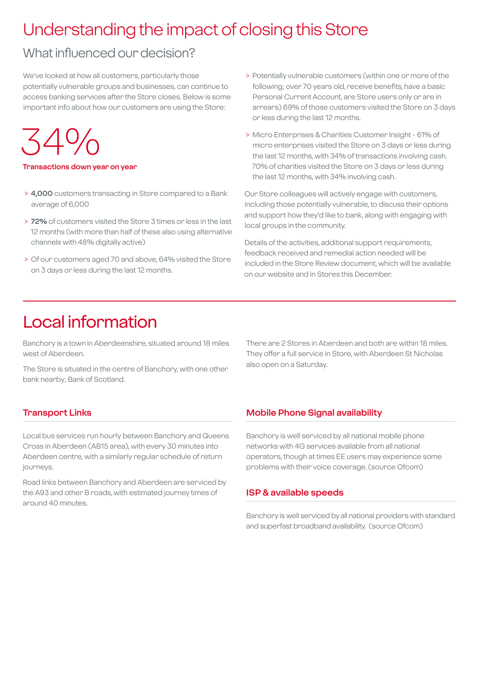### Understanding the impact of closing this Store

### What influenced our decision?

We've looked at how all customers, particularly those potentially vulnerable groups and businesses, can continue to access banking services after the Store closes. Below is some important info about how our customers are using the Store:

 $.54\%$ 

#### **Transactions down year on year**

- > **4,000** customers transacting in Store compared to a Bank average of 6,000
- > **72%** of customers visited the Store 3 times or less in the last 12 months (with more than half of these also using alternative channels with 48% digitally active)
- > Of our customers aged 70 and above, 64% visited the Store on 3 days or less during the last 12 months.
- > Potentially vulnerable customers (within one or more of the following; over 70 years old, receive benefits, have a basic Personal Current Account, are Store users only or are in arrears) 69% of those customers visited the Store on 3 days or less during the last 12 months.
- > Micro Enterprises & Charities Customer Insight 61% of micro enterprises visited the Store on 3 days or less during the last 12 months, with 34% of transactions involving cash. 70% of charities visited the Store on 3 days or less during the last 12 months, with 34% involving cash.

Our Store colleagues will actively engage with customers, including those potentially vulnerable, to discuss their options and support how they'd like to bank, along with engaging with local groups in the community.

Details of the activities, additional support requirements, feedback received and remedial action needed will be included in the Store Review document, which will be available on our website and in Stores this December.

### Local information

Banchory is a town in Aberdeenshire, situated around 18 miles west of Aberdeen.

The Store is situated in the centre of Banchory, with one other bank nearby; Bank of Scotland.

There are 2 Stores in Aberdeen and both are within 18 miles. They offer a full service in Store, with Aberdeen St Nicholas also open on a Saturday.

#### **Transport Links**

Local bus services run hourly between Banchory and Queens Cross in Aberdeen (AB15 area), with every 30 minutes into Aberdeen centre, with a similarly regular schedule of return journeys.

Road links between Banchory and Aberdeen are serviced by the A93 and other B roads, with estimated journey times of around 40 minutes.

#### **Mobile Phone Signal availability**

Banchory is well serviced by all national mobile phone networks with 4G services available from all national operators, though at times EE users may experience some problems with their voice coverage. (source Ofcom)

#### **ISP & available speeds**

Banchory is well serviced by all national providers with standard and superfast broadband availability. (source Ofcom)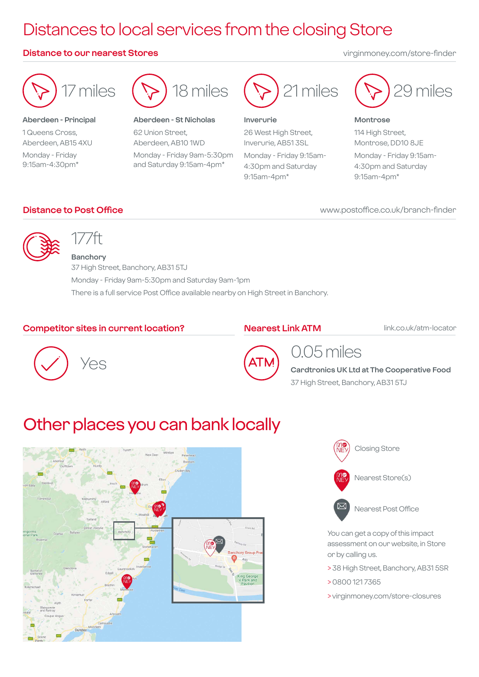## Distances to local services from the closing Store

#### **Distance to our nearest Stores** virginmoney.com/store-finder



#### **Aberdeen - Principal** 1 Queens Cross, Aberdeen, AB15 4XU Monday - Friday 9:15am-4:30pm\*



**Aberdeen - St Nicholas**

62 Union Street, Aberdeen, AB10 1WD Monday - Friday 9am-5:30pm and Saturday 9:15am-4pm\*



#### **Inverurie**

26 West High Street, Inverurie, AB51 3SL Monday - Friday 9:15am-

4:30pm and Saturday 9:15am-4pm\*



#### **Montrose**

114 High Street, Montrose, DD10 8JE Monday - Friday 9:15am-4:30pm and Saturday 9:15am-4pm\*

#### **Distance to Post Office**

#### www.postoffice.co.uk/branch-finder



### 177ft

**Banchory** 37 High Street, Banchory, AB31 5TJ Monday - Friday 9am-5:30pm and Saturday 9am-1pm There is a full service Post Office available nearby on High Street in Banchory.

#### **Competitor sites in current location?**

#### **Nearest Link ATM**

link.co.uk/atm-locator





### 0.05 miles

**Cardtronics UK Ltd at The Cooperative Food** 37 High Street, Banchory, AB31 5TJ

### Other places you can bank locally







Nearest Post Office

You can get a copy of this impact assessment on our website, in Store or by calling us.

- > 38 High Street, Banchory, AB31 5SR
- > 0800 121 7365
- > virginmoney.com/store-closures